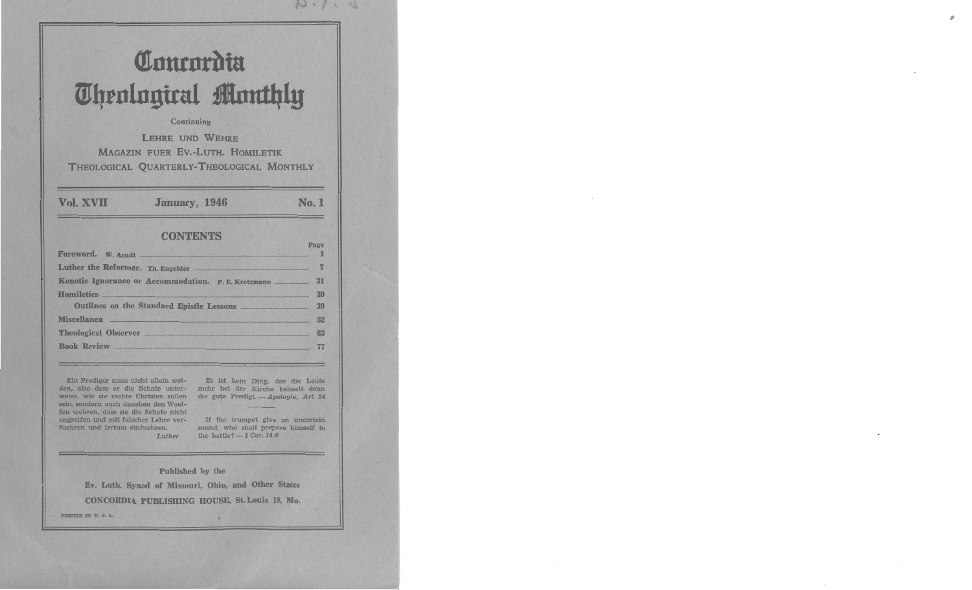# Concordia **Theological Monthly**

# Continuing

**LEHRE UND WEHRE MAGAZIN FUER EV.-LUTH. HOMILETIK** THEOLOGICAL QUARTERLY-THEOLOGICAL MONTHLY

Vol. XVII

**January, 1946** 

# **No. 1**

 $D \cdot / \cdot S$ 

# **CONTENTS**

| Foreword. W. Arndt                                 |    |
|----------------------------------------------------|----|
|                                                    |    |
| Kenotic Ignorance or Accommodation. P.E. Kretzmann | 31 |
| Homiletics                                         | 39 |
| Outlines on the Standard Epistle Lessons           | 39 |
| Miscellanea <b>Miscellanea</b>                     | 52 |
| Theological Observer <b>Exercise 2016</b>          | 63 |
| <b>Book Review</b>                                 |    |
|                                                    |    |

Ein Prediger muss nicht allein weiden, also-dass er die Schafe unterweise, wie sie rechte Christen sollen sein, sondern auch daneben den Woelfen wehren, dass sie die Schafe nicht angreifen und mit falscher Lehre verfuehren und Irrtum einfuehren.

Es ist kein Ding, das die Leute mehr bei der Kirche behaelt denn die gute Predigt. - Apologie, Art. 24

If the trumpet give an uncertain sound, who shall prepare himself to the battle?  $-1$  Cor. 14:8

Published by the

Luther

Ev. Luth. Synod of Missouri, Ohio, and Other States CONCORDIA PUBLISHING HOUSE, St. Louis 18, Mo.

PRINTED IN U.S.A.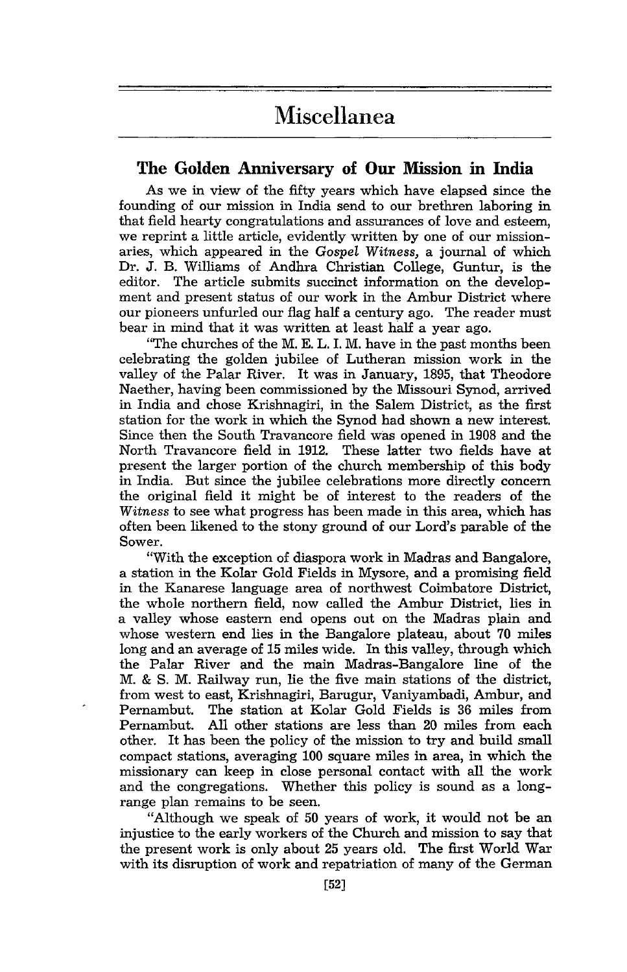# Miscellanea

# **The Golden Anniversary of Our Mission in India**

As we in view of the fifty years which have elapsed since the founding of our mission in India send to our brethren laboring in that field hearty congratulations and assurances of love and esteem, we reprint a little article, evidently written by one of our missionaries, which appeared in the *Gospel Witness*, a journal of which Dr. J. B. Williams of Andhra Christian College, Guntur, is the editor. The article submits succinct information on the develop-The article submits succinct information on the development and present status of our work in the Ambur District where our pioneers unfurled our flag half a century ago. The reader must bear in mind that it was written at least half a year ago.

"The churches of the M. E. L. I. M. have in the past months been celebrating the golden jubilee of Lutheran mission work in the valley of the Palar River. It was in January, 1895, that Theodore Naether, having been commissioned by the Missouri Synod, arrived in India and chose Krishnagiri, in the Salem District, as the first station for the work in which the Synod had shown a new interest. Since then the South Travancore field was opened in 1908 and the North Travancore field in 1912. These latter two fields have at present the larger portion of the church membership of this body in India. But since the jubilee celebrations more directly concern the original field it might be of interest to the readers of the *Witness* to see what progress has been made in this area, which has often been likened to the stony ground of our Lord's parable of the Sower.

''With the exception of diaspora work in Madras and Bangalore, a station in the Kolar Gold Fields in Mysore, and a promising field in the Kanarese language area of northwest Coimbatore District, the whole northern field, now called the Ambur District, lies in a valley whose eastern end opens out on the Madras plain and whose western end lies in the Bangalore plateau, about 70 miles long and an average of 15 miles wide. In this valley, through which the Palar River and the main Madras-Bangalore line of the M. & S. M. Railway run, lie the five main stations of the district, from west to east, Krishnagiri, Barugur, Vaniyambadi, Ambur, and Pernambut. The station at Kolar Gold Fields is 36 miles from All other stations are less than 20 miles from each other. It has been the policy of the mission to try and build small compact stations, averaging 100 square miles in area, in which the missionary can keep in close personal contact with all the work and the congregations. Whether this policy is sound as a longrange plan remains to be seen.

"Although we speak of 50 years of work, it would not be an injustice to the early workers of the Church and mission to say that the present work is only about 25 years old. The first World War with its disruption of work and repatriation of many of the German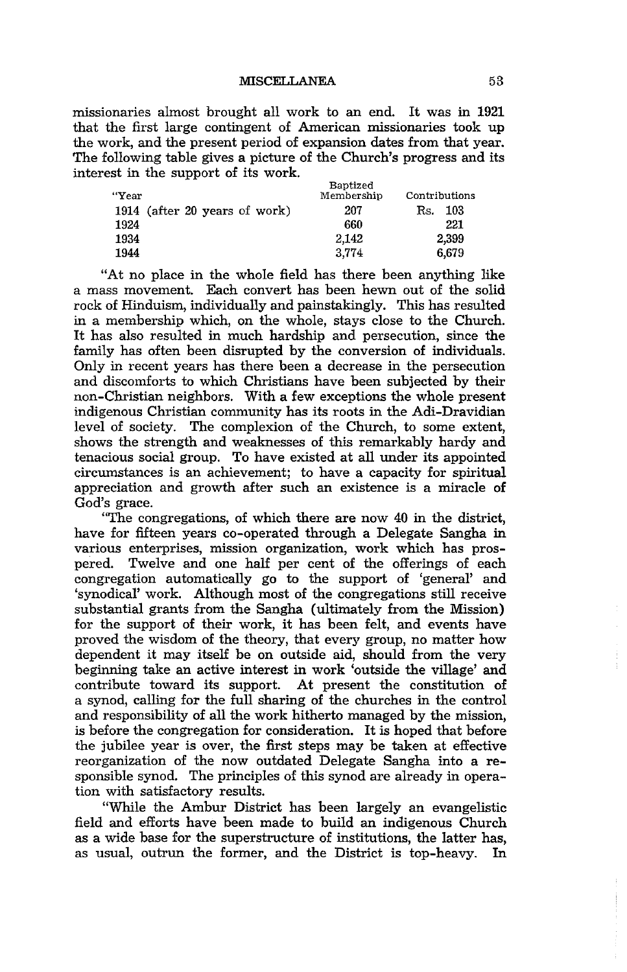missionaries almost brought all work to an end. It was in 1921 that the first large contingent of American missionaries took up the work, and the present period of expansion dates from that year. The following table gives a picture of the Church's progress and its interest in the support of its work.

| Membership | Contributions |
|------------|---------------|
| 207        | 103<br>Rs.    |
| 660        | 221           |
| 2.142      | 2.399         |
| 3.774      | 6,679         |
|            | Baptized      |

"At no place in the whole field has there been anything like a mass movement. Each convert has been hewn out of the solid rock of Hinduism, individually and painstakingly. This has resulted in a membership which, on the whole, stays close to the Church. It has also resulted in much hardship and persecution, since the family has often been disrupted by the conversion of individuals. Only in recent years has there been a decrease in the persecution and discomforts to which Christians have been subjected by their non-Christian neighbors. With a few exceptions the whole present indigenous Christian community has its roots in the Adi-Dravidian level of society. The complexion of the Church, to some extent, shows the strength and weaknesses of this remarkably hardy and tenacious social group. To have existed at all under its appointed circumstances is an achievement; to have a capacity for spiritual appreciation and growth after such an existence is a miracle of God's grace.

"The congregations, of which there are now 40 in the district, have for fifteen years co-operated through a Delegate Sangha in various enterprises, mission organization, work which has pros-Twelve and one half per cent of the offerings of each congregation automatically go to the support of 'general' and 'synodical' work. Although most of the congregations still receive substantial grants from the Sangha (ultimately from the Mission) for the support of their work, it has been felt, and events have proved the wisdom of the theory, that every group, no matter how dependent it may itself be on outside aid, should from the very beginning take an active interest in work 'outside the village' and contribute toward its support. At present the constitution of a synod, calling for the full sharing of the churches in the control and responsibility of all the work hitherto managed by the mission, is before the congregation for consideration. It is hoped that before the jubilee year is over, the first steps may be taken at effective reorganization of the now outdated Delegate Sangha into a responsible synod. The principles of this synod are already in operation with satisfactory results.

"While the Ambur District has been largely an evangelistic field and efforts have been made to build an indigenous Church as a wide base for the superstructure of institutions, the latter has, as usual, outrun the former, and the District is top-heavy. In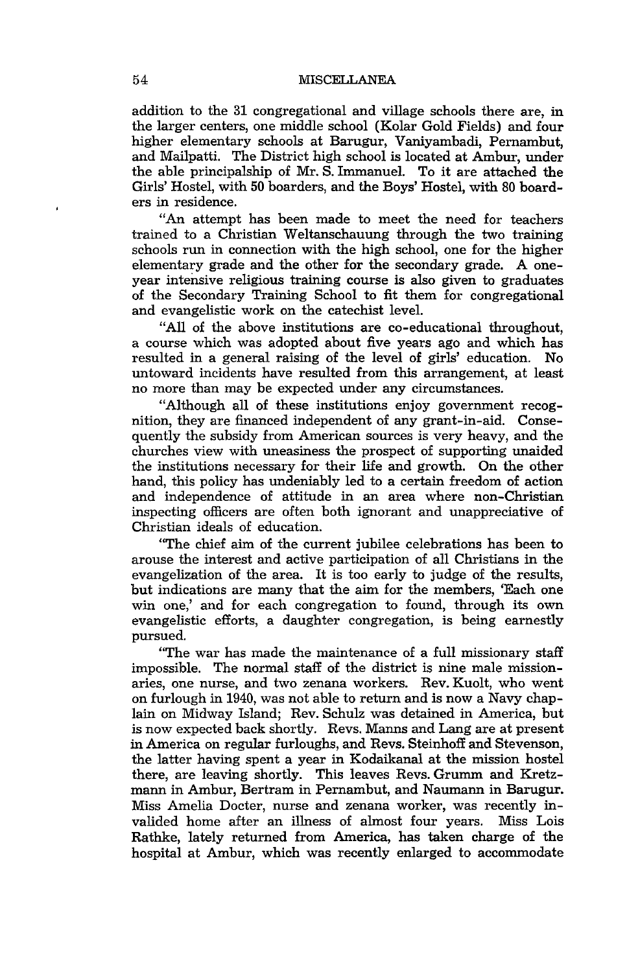addition to the 31 congregational and village schools there are, in the larger centers, one middle school (Kolar Gold Fields) and four higher elementary schools at Barugur, Vaniyambadi, Pernambut, and Mailpatti. The District high school *is* located at Ambur, under the able principalship of Mr. S. Immanuel. To it are attached the Girls' Hostel, with 50 boarders, and the Boys' Hostel, with 80 boarders in residence.

"An attempt has been made to meet the need for teachers trained to a Christian Weltanschauung through the two training schools run in connection with the high school, one for the higher elementary grade and the other for the secondary grade. A oneyear intensive religious training course is also given to graduates of the Secondary Training School to fit them for congregational and evangelistic work on the catechist level.

"All of the above institutions are co-educational throughout, a course which was adopted about five years ago and which has resulted in a general raising of the level of girls' education. No untoward incidents have resulted from this arrangement, at least no more than may be expected under any circumstances.

"Although all of these institutions enjoy government recognition, they are financed independent of any grant-in-aid. Consequently the subsidy from American sources is very heavy, and the churches view with uneasiness the prospect of supporting unaided the institutions necessary for their life and growth. On the other hand, this policy has undeniably led to a certain freedom of action and independence of attitude in an area where non-Christian inspecting officers are often both ignorant and unappreciative of Christian ideals of education.

"The chief aim of the current jubilee celebrations has been to arouse the interest and active participation of all Christians in the evangelization of the area. It is too early to judge of the results, but indications are many that the aim for the members, 'Each one win one,' and for each congregation to found, through its own evangelistic efforts, a daughter congregation, is being earnestly pursued.

"The war has made the maintenance of a full missionary staff impossible. The normal staff of the district is nine male missionaries, one nurse, and two zenana workers. Rev. Kuolt, who went on furlough in 1940, was not able to return and is now a Navy chaplain on Midway Island; Rev. Schulz was detained in America, but is now expected back shortly. Revs. Manns and Lang are at present in America on regular furloughs, and Revs. Steinhoff and Stevenson, the latter having spent a year in Kodaikanal at the mission hostel there, are leaving shortly. This leaves Revs. Grumm and Kretzmann in Ambur, Bertram in Pernambut, and Naumann in Barugur. Miss Amelia Docter, nurse and zenana worker, was recently invalided home after an illness of almost four years. Miss Lois Rathke, lately returned from America, has taken charge of the hospital at Ambur, which was recently enlarged to accommodate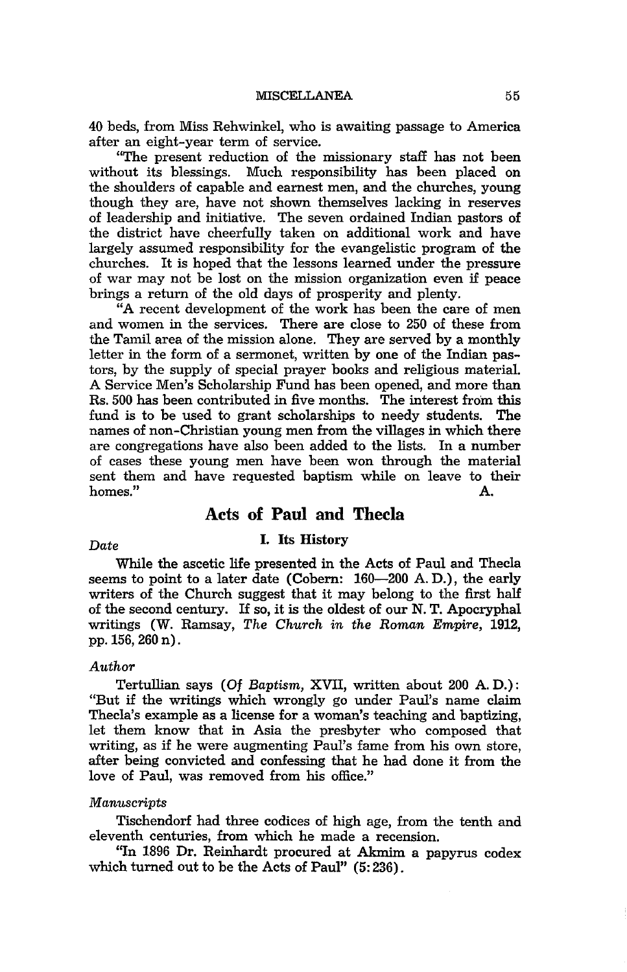40 beds, from Miss Rehwinkel, who is awaiting passage to America after an eight-year term of service.

"The present reduction of the missionary staff has not been without its blessings. Much responsibility has been placed on the shoulders of capable and earnest men, and the churches, young though they are, have not shown themselves lacking in reserves of leadership and initiative. The seven ordained Indian pastors of the district have cheerfully taken on additional work and have largely assumed responsibility for the evangelistic program of the churches. It is hoped that the lessons learned under the pressure of war may not be lost on the mission organization even if peace brings a return of the old days of prosperity and plenty.

"A recent development of the work has been the care of men and women in the services. There are close to 250 of these from the Tamil area of the mission alone. They are served by a monthly letter in the form of a sermonet, written by one of the Indian pastors, by the supply of special prayer books and religious material. A Service Men's Scholarship Fund has been opened, and more than Rs. 500 has been contributed in five months. The interest from this fund is to be used to grant scholarships to needy students. The names of non-Christian young men from the villages in which there are congregations have also been added to the lists. In a number of cases these young men have been won through the material sent them and have requested baptism while on leave to their<br>homes." homes." A.

# Acts **of** Paul and Thecla

# *Date* I. Its History

While the ascetic life presented in the Acts of Paul and Thecla seems to point to a later date (Cobern: 160-200 A.D.), the early writers of the Church suggest that it may belong to the first half of the second century. If so, it is the oldest of our N. T. Apocryphal writings (W. Ramsay, *The Church in the Roman Empire, 1912,*  pp.156, 260 n).

# *Author*

Tertullian says *(Of Baptism,* XVII, written about 200 A. D.): "But if the writings which wrongly go under Paul's name claim Thecla's example as a license for a woman's teaching and baptizing, let them know that in Asia the presbyter who composed that writing, as if he were augmenting Paul's fame from his own store, after being convicted and confessing that he had done it from the love of Paul, was removed from his office."

### *Manuscripts*

Tischendorf had three codices of high age, from the tenth and eleventh centuries, from which he made a recension.

"In 1896 Dr. Reinhardt procured at Akmim a papyrus codex which turned out to be the Acts of Paul" (5: 236).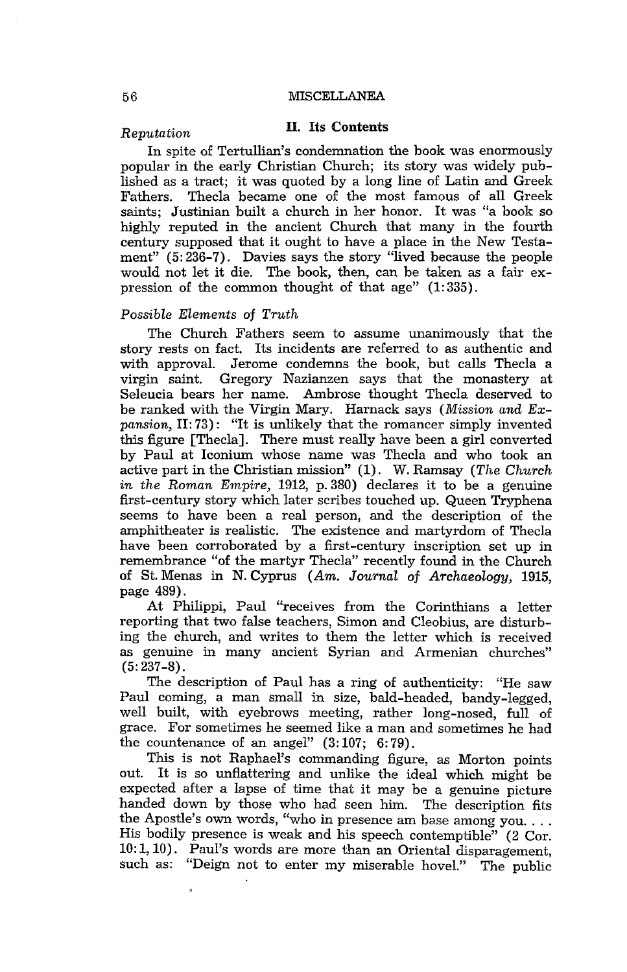#### 56 MISCELLANEA

# *Reputation* II. Its Contents

In spite of Tertullian's condemnation the book was enormously popular in the early Christian Church; its story was widely published as a tract; it was quoted by a long line of Latin and Greek Thecla became one of the most famous of all Greek saints; Justinian built a church in her honor. It was "a book so highly reputed in the ancient Church that many in the fourth century supposed that it ought to have a place in the New Testament" (5: 236-7). Davies says the story "lived because the people would not let it die. The book, then, can be taken as a fair expression of the common thought of that age"  $(1:335)$ .

#### *Possible Elements* of *Truth*

The Church Fathers seem to assume unanimously that the story rests on fact. Its incidents are referred to as authentic and with approval. Jerome condemns the book, but calls Thecla a Gregory Nazianzen says that the monastery at Seleucia bears her name. Ambrose thought Thecla deserved to be ranked with the Virgin Mary. Harnack says *(Mission and Expansion, II:73):* "It is unlikely that the romancer simply invented this figure [Thecla]. There must really have been a girl converted by Paul at Iconium whose name was Thecla and who took an active part in the Christian mission" (1). W. Ramsay *(The Church in the Roman Empire,* 1912, p. 380) declares it to be a genuine first-century story which later scribes touched up. Queen Tryphena seems to have been a real person, and the description of the amphitheater is realistic. The existence and martyrdom of Thecla have been corroborated by a first-century inscription set up in remembrance "of the martyr Thecla" recently found in the Church of St. Menas in N. Cyprus *(Am. Journal* of *Archaeology, 1915,*  page 489).

At Philippi, Paul "receives from the Corinthians a letter reporting that two false teachers, Simon and Cleobius, are disturbing the church, and writes to them the letter which is received as genuine in many ancient Syrian and Armenian churches" (5: 237-8).

The description of Paul has a ring of authenticity: "He saw Paul coming, a man small in size, bald-headed, bandy-legged, well built, with eyebrows meeting, rather long-nosed, full of grace. For sometimes he seemed like a man and sometimes he had the countenance of an angel"  $(3:107; 6:79)$ .

This is not Raphael's commanding figure, as Morton points out. It is so unflattering and unlike the ideal which might be expected after a lapse of time that it may be a genuine picture handed down by those who had seen him. The description fits the Apostle's own words, "who in presence am base among you .... His bodily presence is weak and his speech contemptible" (2 Cor. 10: 1,10). Paul's words are more than an Oriental disparagement, such as: "Deign not to enter my miserable hoveL" The public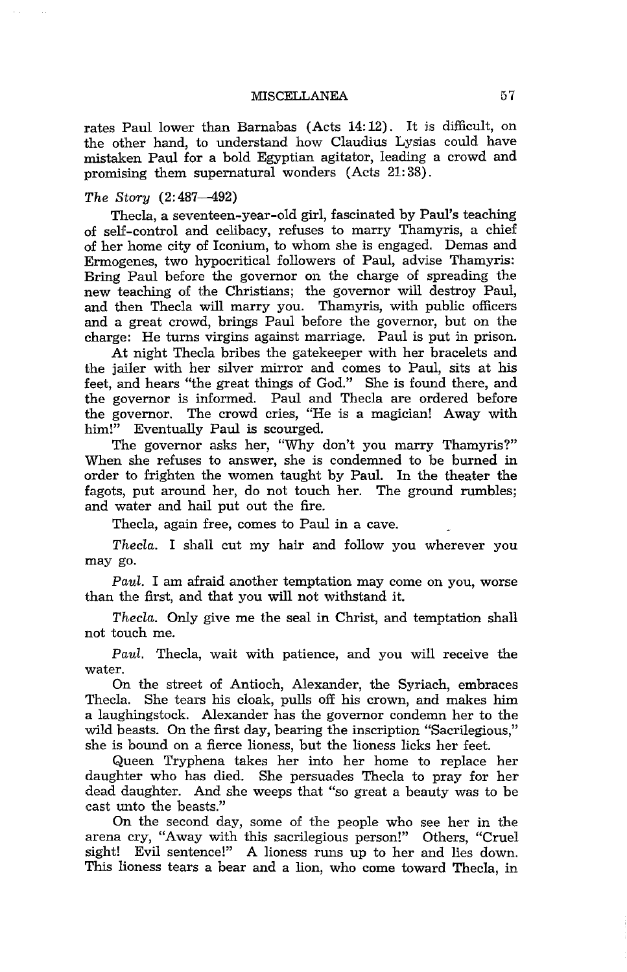MISCELLANEA 57

rates Paul lower than Barnabas (Acts 14: 12). It is difficult, on the other hand, to understand how Claudius Lysias could have mistaken Paul for a bold Egyptian agitator, leading a crowd and promising them supernatural wonders (Acts 21: 38).

#### *The Story* (2: 487-492)

Thecla, a seventeen-year-old girl, fascinated by Paul's teaching of self-control and celibacy, refuses to marry Thamyris, a chief of her home city of Iconium, to whom she is engaged. Demas and Ermogenes, two hypocritical followers of Paul, advise Thamyris: Bring Paul before the governor on the charge of spreading the new teaching of the Christians; the governor will destroy Paul, and then Thecla will marry you. Thamyris, with public officers and a great crowd, brings Paul before the governor, but on the charge: He turns virgins against marriage. Paul is put in prison.

At night Thecla bribes the gatekeeper with her bracelets and the jailer with her silver mirror and comes to Paul, sits at his feet, and hears "the great things of God." She is found there, and the governor is informed. Paul and Thecla are ordered before the governor. The crowd cries, "He is a magician! Away with him!" Eventually Paul is scourged.

The governor asks her, "Why don't you marry Thamyris?" When she refuses to answer, she is condemned to be burned in order to frighten the women taught by Paul. In the theater the fagots, put around her, do not touch her. The ground rumbles; and water and hail put out the fire.

Thecla, again free, comes to Paul in a cave.

*Thecla.* I shall cut my hair and follow you wherever you may go.

*Paul.* I am afraid another temptation may come on you, worse than the first, and that you will not withstand it.

*Thecla.* Only give me the seal in Christ, and temptation shall not touch me.

*Paul.* Thecla, wait with patience, and you will receive the water.

On the street of Antioch, Alexander, the Syriach, embraces Thecla. She tears his cloak, pulls off his crown, and makes him a laughingstock. Alexander has the governor condemn her to the wild beasts. On the first day, bearing the inscription "Sacrilegious," she is bound on a fierce lioness, but the lioness licks her feet.

Queen Tryphena takes her into her home to replace her daughter who has died. She persuades Thecla to pray for her dead daughter. And she weeps that "so great a beauty was to be cast unto the beasts."

On the second day, some of the people who see her in the arena cry, "Away with this sacrilegious person!" Others, "Cruel sight! Evil sentence!" A lioness runs up to her and lies down. This lioness tears a bear and a lion, who come toward Thecla, in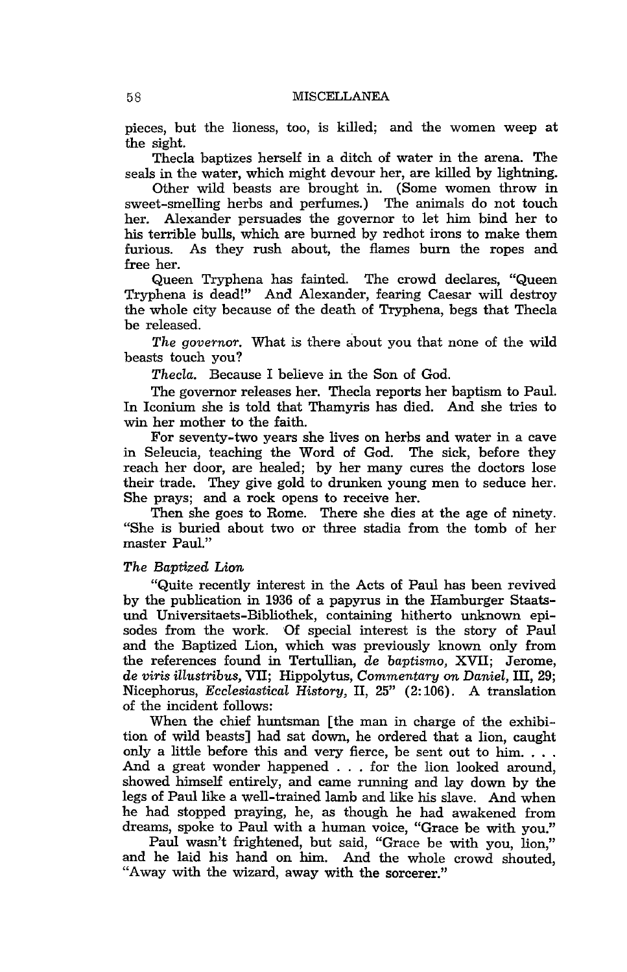pieces, but the lioness, too, is killed; and the women weep at the sight.

Thecla baptizes herself in a ditch of water in the arena. The seals in the water, which might devour her, are killed by lightning.

Other wild beasts are brought in. (Some women throw in sweet-smelling herbs and perfumes.) The animals do not touch her. Alexander persuades the governor to let him bind her to his terrible bulls, which are burned by redhot irons to make them furious. As they rush about, the flames burn the ropes and free her.

Queen Tryphena has fainted. The crowd declares, "Queen Tryphena is dead!" And Alexander, fearing Caesar will destroy the whole city because of the death of Tryphena, begs that Thecla be released.

*The governor.* What is there about you that none of the wild beasts touch you?

*Thecla.* Because I believe in the Son of God.

The governor releases her. Thecla reports her baptism to Paul. In Iconium she is told that Thamyris has died. And she tries to win her mother to the faith.

For seventy-two years she lives on herbs and water in a cave in Seleucia, teaching the Word of God. The sick, before they reach her door, are healed; by her many cures the doctors lose their trade. They give gold to drunken young men to seduce her. She prays; and a rock opens to receive her.

Then she goes to Rome. There she dies at the age of ninety. "She is buried about two or three stadia from the tomb of her master Paul."

### *The Baptized Lion*

"Quite recently interest in the Acts of Paul has been revived by the publication in 1936 of a papyrus in the Hamburger Staatsund Universitaets-Bibliothek, containing hitherto unknown episodes from the work. Of special interest is the story of Paul and the Baptized Lion, which was previously known only from the references found in Tertullian, de *baptismo,* XVII; Jerome, de *viris illustribus,* VII; Hippolytus, *Commentary on Daniel,* III, 29; Nicephorus, *Ecclesiastical History,* II, 25" (2: 106). A translation of the incident follows:

When the chief huntsman [the man in charge of the exhibition of wild beasts] had sat down, he ordered that a lion, caught only a little before this and very fierce, be sent out to him. . . . And a great wonder happened . . . for the lion looked around, showed himself entirely, and came running and lay down by the legs of Paul like a well-trained lamb and like his slave. And when he had stopped praying, he, as though he had awakened from dreams, spoke to Paul with a human voice, "Grace be with you."

Paul wasn't frightened, but said, "Grace be with you, lion," and he laid his hand on him. And the whole crowd shouted, "Away with the wizard, away with the sorcerer."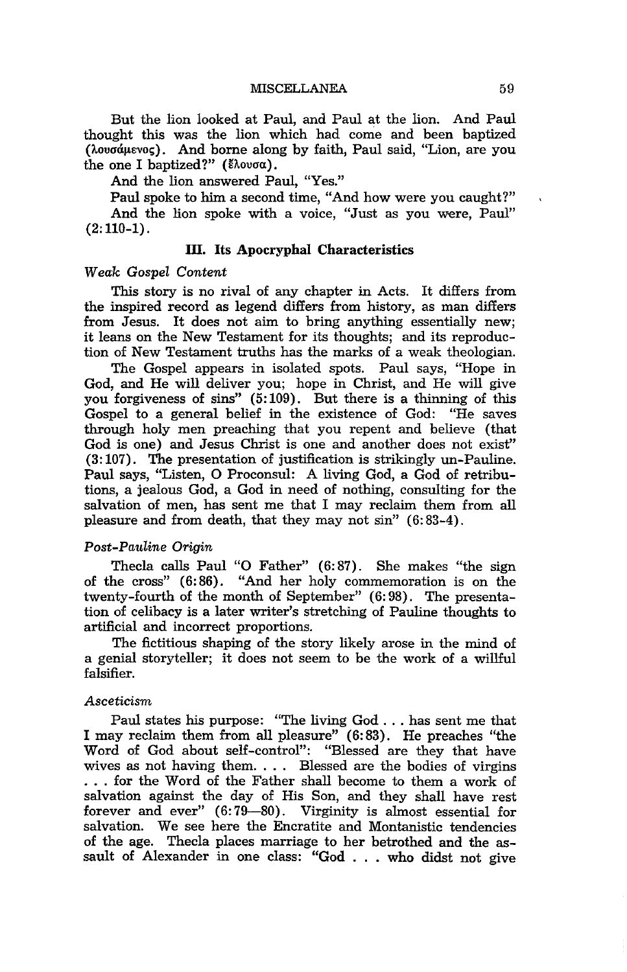But the lion looked at Paul, and Paul at the lion. And Paul thought this was the lion which had come and been baptized (λουσάμενος). And borne along by faith, Paul said, "Lion, are you the one I baptized?" ( $\epsilon \lambda$ ovoa).

And the lion answered Paul, "Yes."

Paul spoke to him a second time, "And how were you caught?" And the lion spoke with a voice, "Just as you were, Paul"  $(2:110-1)$ .

# **III. Its Apocryphal Characteristics**

# *Weak Gospel Content*

This story is no rival of any chapter in Acts. It differs from the inspired record as legend differs from history, as man differs from Jesus. It does not aim to bring anything essentially new; it leans on the New Testament for its thoughts; and its reproduction of New Testament truths has the marks of a weak theologian.

The Gospel appears in isolated spots. Paul says, "Hope in God, and He will deliver you; hope in Christ, and He will give you forgiveness of sins" (5:109). But there is a thinning of this Gospel to a general belief in the existence of God: "He saves through holy men preaching that you repent and believe (that God is one) and Jesus Christ is one and another does not exist" (3: 107). The presentation of justification is strikingly un-Pauline. Paul says, "Listen, 0 Proconsul: A living God, a God of retributions, a jealous God, a God in need of nothing, consulting for the salvation of men, has sent me that I may reclaim them from all pleasure and from death, that they may not sin" (6: 83-4).

# *Post-Pauline Origin*

Thecla calls Paul "0 Father" (6: 87). She makes "the sign of the cross" (6:86). "And her holy commemoration is on the twenty-fourth of the month of September" (6: 98). The presentation of celibacy is a later writer's stretching of Pauline thoughts to artificial and incorrect proportions.

The fictitious shaping of the story likely arose in the mind of a genial storyteller; it does not seem to be the work of a willful falsifier.

#### *Asceticism*

Paul states his purpose: "The living God ... has sent me that I may reclaim them from all pleasure" (6:83). He preaches "the Word of God about self-control": "Blessed are they that have wives as not having them.  $\ldots$  Blessed are the bodies of virgins . . . for the Word of the Father shall become to them a work of salvation against the day of His Son, and they shall have rest forever and ever" (6:79-80). Virginity is almost essential for salvation. We see here the Encratite and Montanistic tendencies of the age. Thecla places marriage to her betrothed and the assault of Alexander in one class: "God ... who didst not give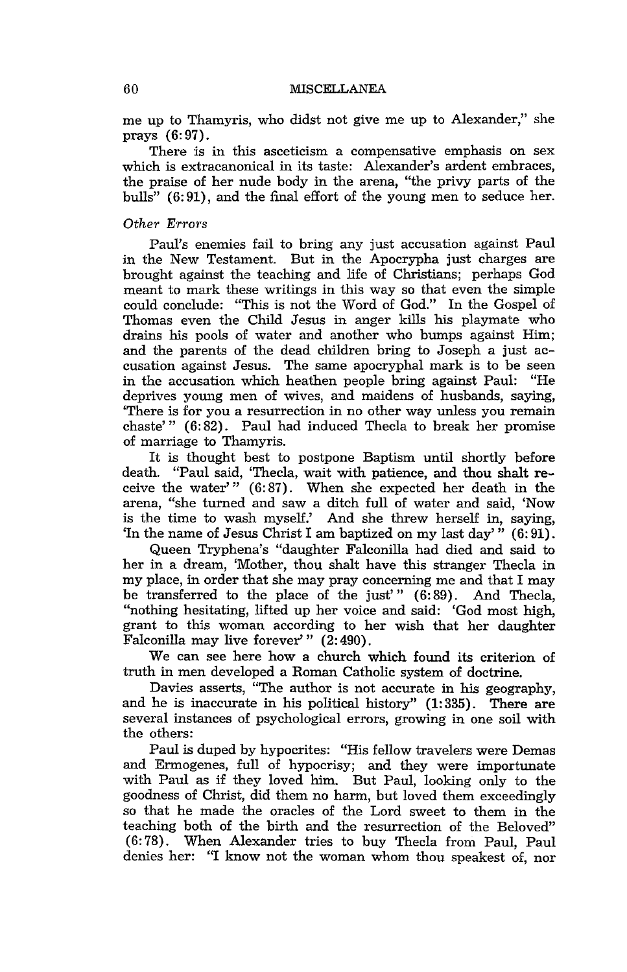me up to Thamyris, who didst not give me up to Alexander," she prays (6: 97).

There is in this asceticism a compensative emphasis on sex which is extracanonical in its taste: Alexander's ardent embraces, the praise of her nude body in the arena, "the privy parts of the bulls" (6: 91), and the final effort of the young men to seduce her.

# *Other Errors*

Paul's enemies fail to bring any just accusation against Paul in the New Testament. But in the Apocrypha just charges are brought against the teaching and life of Christians; perhaps God meant to mark these writings in this way so that even the simple could conclude: "This is not the Word of God." In the Gospel of Thomas even the Child Jesus in anger kills his playmate who drains his pools of water and another who bumps against Him; and the parents of the dead children bring to Joseph a just accusation against Jesus. The same apocryphal mark is to be seen in the accusation which heathen people bring against Paul: "He deprives young men of wives, and maidens of husbands, saying, 'There is for you a resurrection in no other way unless you remain chaste'" (6: 82). Paul had induced Thecla to break her promise of marriage to Thamyris.

It is thought best to postpone Baptism until shortly before death. "Paul said, 'Thecla, wait with patience, and thou shalt receive the water'" (6:87). When she expected her death in the arena, "she turned and saw a ditch full of water and said, 'Now is the time to wash myself.' And she threw herself in, saying, 'In the name of Jesus Christ I am baptized on my last day'" (6: 91).

Queen Tryphena's "daughter Falconilla had died and said to her in a dream, 'Mother, thou shalt have this stranger Thecla in my place, in order that she may pray concerning me and that I may be transferred to the place of the just'" (6:89). And Thecla, "nothing hesitating, lifted up her voice and said: 'God most high, grant to this woman according to her wish that her daughter Falconilla may live forever'" (2: 490).

We can see here how a church which found its criterion of truth in men developed a Roman Catholic system of doctrine.

Davies asserts, "The author is not accurate in his geography, and he is inaccurate in his political history" (1: 335). There are several instances of psychological errors, growing in one soil with the others:

Paul is duped by hypocrites: "His fellow travelers were Demas and Ermogenes, full of hypocrisy; and they were importunate with Paul as if they loved him. But Paul, looking only to the goodness of Christ, did them no harm, but loved them exceedingly so that he made the oracles of the Lord sweet to them in the teaching both of the birth and the resurrection of the Beloved" (6: 78). When Alexander tries to buy Thecla from Paul, Paul denies her: "I know not the woman whom thou speakest of, nor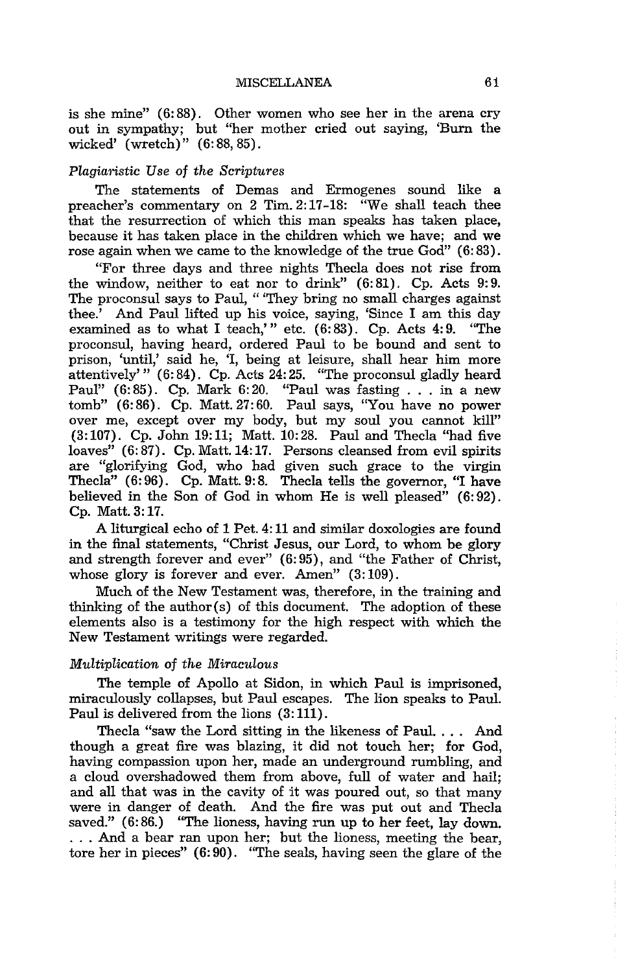is she mine" (6: 88). Other women who see her in the arena cry out in sympathy; but "her mother cried out saying, 'Burn the wicked' (wretch)" (6:88, 85).

# $Pla$ *giaristic Use of the Scriptures*

The statements of Demas and Ermogenes sound like a preacher's commentary on 2 Tim. 2:17-18: "We shall teach thee that the resurrection of which this man speaks has taken place, because it has taken place in the children which we have; and we rose again when we came to the knowledge of the true God" (6: 83).

"For three days and three nights Thecla does not rise from the window, neither to eat nor to drink"  $(6:81)$ . Cp. Acts 9:9. The proconsul says to Paul, "They bring no small charges against thee.' And Paul lifted up his voice, saying, 'Since I am this day examined as to what I teach.'" etc. (6:83). Cp. Acts 4:9. "The examined as to what I teach,'" etc.  $(6: 83)$ . Cp. Acts 4:9. proconsul, having heard, ordered Paul to be bound and sent to prison, 'until,' said he, 'I, being at leisure, shall hear him more attentively'"  $(6: 84)$ . Cp. Acts 24:25. "The proconsul gladly heard Paul"  $(6:85)$ . Cp. Mark  $6:20$ . "Paul was fasting . . . in a new  $tomb''$  (6:86). Cp. Matt. 27:60. Paul says, "You have no power over me, except over my body, but my soul you cannot kill"  $(3:107)$ . Cp. John 19:11; Matt. 10:28. Paul and Thecla "had five  $\mu$ loaves" (6:87). Cp. Matt. 14:17. Persons cleansed from evil spirits are "glorifying God, who had given such grace to the virgin Thecla" (6:96). Cp. Matt. 9:8. Thecla tells the governor, "I have believed in the Son of God in whom He is well pleased" (6:92). Cp. Matt. 3:17.

A liturgical echo of 1 Pet. 4: 11 and similar doxologies are found in the final statements, "Christ Jesus, our Lord, to whom be glory and strength forever and ever" (6: 95), and "the Father of Christ, whose glory is forever and ever. Amen"  $(3:109)$ .

Much of the New Testament was, therefore, in the training and thinking of the author(s) of this document. The adoption of these elements also is a testimony for the high respect with which the New Testament writings were regarded.

# *Multiplication* of *the Miraculous*

The temple of Apollo at Sidon, in which Paul is imprisoned, miraculously collapses, but Paul escapes. The lion speaks to Paul. Paul is delivered from the lions (3: 111).

Thecla "saw the Lord sitting in the likeness of Paul. . .. And though a great fire was blazing, it did not touch her; for God, having compassion upon her, made an underground rumbling, and a cloud overshadowed them from above, full of water and hail; and all that was in the cavity of it was poured out, so that many were in danger of death. And the fire was put out and Thecla saved."  $(6:86.)$  "The lioness, having run up to her feet, lay down. . . . And a bear ran upon her; but the lioness, meeting the bear, tore her in pieces" (6: 90). "The seals, having seen the glare of the